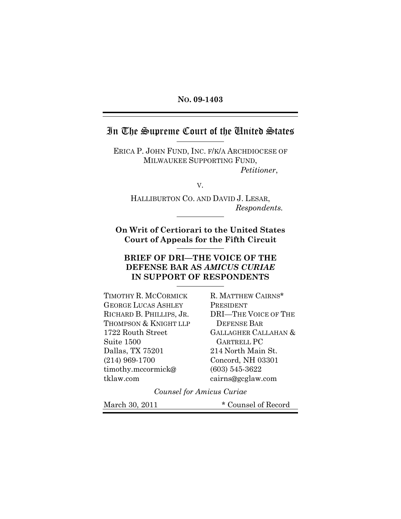#### **NO. 09-1403**

## In The Supreme Court of the United States

 $\overline{a}$ 

ERICA P. JOHN FUND, INC. F/K/A ARCHDIOCESE OF MILWAUKEE SUPPORTING FUND, *Petitioner*,

V.

HALLIBURTON CO. AND DAVID J. LESAR, *Respondents.* 

**On Writ of Certiorari to the United States Court of Appeals for the Fifth Circuit** 

## **BRIEF OF DRI—THE VOICE OF THE DEFENSE BAR AS** *AMICUS CURIAE* **IN SUPPORT OF RESPONDENTS**

TIMOTHY R. MCCORMICK GEORGE LUCAS ASHLEY RICHARD B. PHILLIPS, JR. THOMPSON & KNIGHT LLP 1722 Routh Street Suite 1500 Dallas, TX 75201 (214) 969-1700 timothy.mccormick@ tklaw.com

R. MATTHEW CAIRNS\* PRESIDENT DRI—THE VOICE OF THE DEFENSE BAR GALLAGHER CALLAHAN & GARTRELL PC 214 North Main St. Concord, NH 03301 (603) 545-3622 cairns@gcglaw.com

*Counsel for Amicus Curiae* 

March 30, 2011 \* Counsel of Record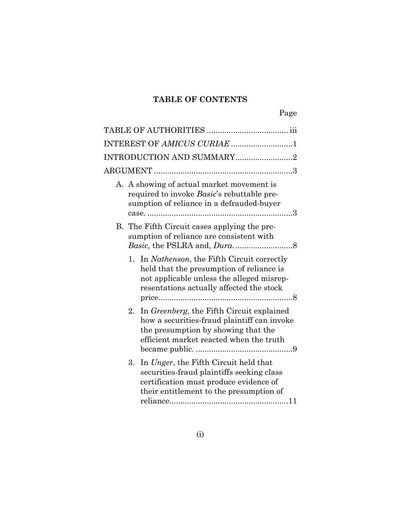# **TABLE OF CONTENTS**

| INTEREST OF AMICUS CURIAE 1                                                                                                                                                               |  |
|-------------------------------------------------------------------------------------------------------------------------------------------------------------------------------------------|--|
| INTRODUCTION AND SUMMARY2                                                                                                                                                                 |  |
|                                                                                                                                                                                           |  |
| A. A showing of actual market movement is<br>required to invoke Basic's rebuttable pre-<br>sumption of reliance in a defrauded-buyer                                                      |  |
| B. The Fifth Circuit cases applying the pre-<br>sumption of reliance are consistent with                                                                                                  |  |
| 1. In <i>Nathenson</i> , the Fifth Circuit correctly<br>held that the presumption of reliance is<br>not applicable unless the alleged misrep-<br>resentations actually affected the stock |  |
| In Greenberg, the Fifth Circuit explained<br>2.<br>how a securities-fraud plaintiff can invoke<br>the presumption by showing that the<br>efficient market reacted when the truth          |  |
| In Unger, the Fifth Circuit held that<br>3.<br>securities-fraud plaintiffs seeking class<br>certification must produce evidence of<br>their entitlement to the presumption of             |  |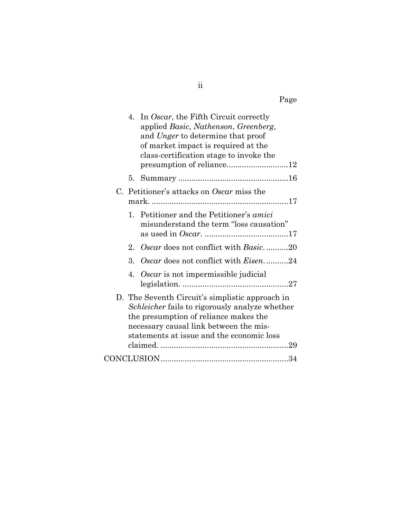| 4.          | In Oscar, the Fifth Circuit correctly<br>applied Basic, Nathenson, Greenberg,<br>and Unger to determine that proof<br>of market impact is required at the<br>class-certification stage to invoke the                              |
|-------------|-----------------------------------------------------------------------------------------------------------------------------------------------------------------------------------------------------------------------------------|
|             |                                                                                                                                                                                                                                   |
|             | C. Petitioner's attacks on Oscar miss the                                                                                                                                                                                         |
| $1_{\cdot}$ | Petitioner and the Petitioner's <i>amici</i><br>misunderstand the term "loss causation"                                                                                                                                           |
| 2.          | Oscar does not conflict with Basic20                                                                                                                                                                                              |
| 3.          | Oscar does not conflict with <i>Eisen</i> 24                                                                                                                                                                                      |
| 4.          | Oscar is not impermissible judicial                                                                                                                                                                                               |
|             | D. The Seventh Circuit's simplistic approach in<br>Schleicher fails to rigorously analyze whether<br>the presumption of reliance makes the<br>necessary causal link between the mis-<br>statements at issue and the economic loss |
|             |                                                                                                                                                                                                                                   |

ii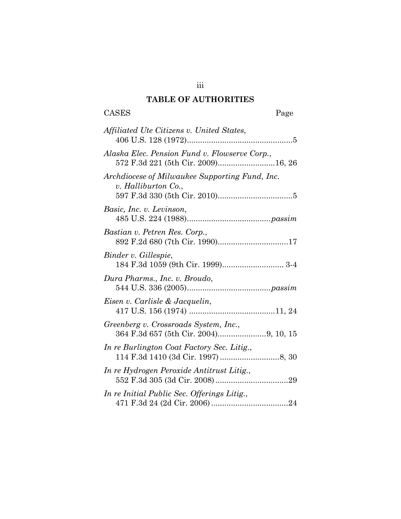## **TABLE OF AUTHORITIES**

iii

# CASES Page

| Affiliated Ute Citizens v. United States,                             |
|-----------------------------------------------------------------------|
| Alaska Elec. Pension Fund v. Flowserve Corp.,                         |
| Archdiocese of Milwaukee Supporting Fund, Inc.<br>v. Halliburton Co., |
| Basic, Inc. v. Levinson,                                              |
| Bastian v. Petren Res. Corp.,<br>892 F.2d 680 (7th Cir. 1990)17       |
| Binder v. Gillespie,                                                  |
| Dura Pharms., Inc. v. Broudo,                                         |
| Eisen v. Carlisle & Jacquelin,                                        |
| Greenberg v. Crossroads System, Inc.,                                 |
| In re Burlington Coat Factory Sec. Litig.,                            |
| In re Hydrogen Peroxide Antitrust Litig.,                             |
| In re Initial Public Sec. Offerings Litig.,                           |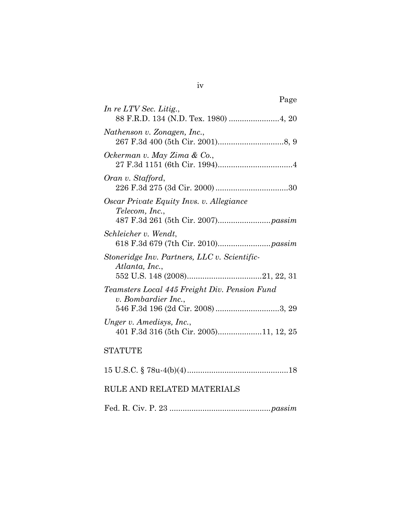| Page                                                                                                      |
|-----------------------------------------------------------------------------------------------------------|
| In re LTV Sec. Litig.,<br>88 F.R.D. 134 (N.D. Tex. 1980)  4, 20                                           |
| Nathenson v. Zonagen, Inc.,                                                                               |
| Ockerman v. May Zima & Co.,                                                                               |
| Oran v. Stafford,                                                                                         |
| Oscar Private Equity Invs. v. Allegiance<br>Telecom, Inc.,                                                |
| Schleicher v. Wendt,                                                                                      |
| Stoneridge Inv. Partners, LLC v. Scientific-<br>Atlanta, Inc.,                                            |
| Teamsters Local 445 Freight Div. Pension Fund<br>v. Bombardier Inc.,<br>546 F.3d 196 (2d Cir. 2008) 3, 29 |
| Unger v. Amedisys, Inc.,<br>401 F.3d 316 (5th Cir. 2005)11, 12, 25                                        |
| <b>STATUTE</b>                                                                                            |
|                                                                                                           |

## RULE AND RELATED MATERIALS

Fed. R. Civ. P. 23 ..............................................*passim*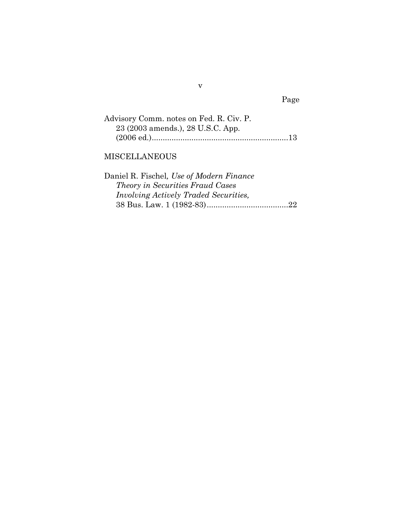Page

| Advisory Comm. notes on Fed. R. Civ. P. |  |
|-----------------------------------------|--|
| 23 (2003 amends.), 28 U.S.C. App.       |  |
|                                         |  |

## MISCELLANEOUS

| Daniel R. Fischel, Use of Modern Finance     |
|----------------------------------------------|
| <i>Theory in Securities Fraud Cases</i>      |
| <i>Involving Actively Traded Securities,</i> |
|                                              |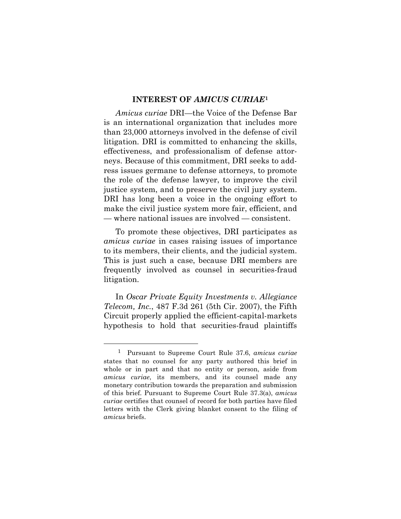#### **INTEREST OF** *AMICUS CURIAE***[1](#page-6-0)**

*Amicus curiae* DRI—the Voice of the Defense Bar is an international organization that includes more than 23,000 attorneys involved in the defense of civil litigation. DRI is committed to enhancing the skills, effectiveness, and professionalism of defense attorneys. Because of this commitment, DRI seeks to address issues germane to defense attorneys, to promote the role of the defense lawyer, to improve the civil justice system, and to preserve the civil jury system. DRI has long been a voice in the ongoing effort to make the civil justice system more fair, efficient, and — where national issues are involved — consistent.

 To promote these objectives, DRI participates as *amicus curiae* in cases raising issues of importance to its members, their clients, and the judicial system. This is just such a case, because DRI members are frequently involved as counsel in securities-fraud litigation.

 In *Oscar Private Equity Investments v. Allegiance Telecom, Inc.*, 487 F.3d 261 (5th Cir. 2007), the Fifth Circuit properly applied the efficient-capital-markets hypothesis to hold that securities-fraud plaintiffs

<span id="page-6-0"></span> <sup>1</sup> Pursuant to Supreme Court Rule 37.6, *amicus curiae*  states that no counsel for any party authored this brief in whole or in part and that no entity or person, aside from *amicus curiae*, its members, and its counsel made any monetary contribution towards the preparation and submission of this brief. Pursuant to Supreme Court Rule 37.3(a), *amicus curiae* certifies that counsel of record for both parties have filed letters with the Clerk giving blanket consent to the filing of *amicus* briefs.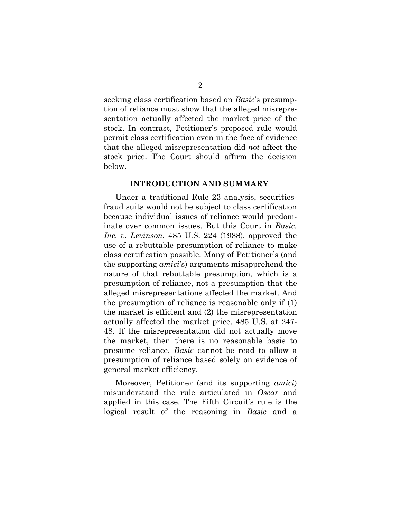seeking class certification based on *Basic*'s presumption of reliance must show that the alleged misrepresentation actually affected the market price of the stock. In contrast, Petitioner's proposed rule would permit class certification even in the face of evidence that the alleged misrepresentation did *not* affect the stock price. The Court should affirm the decision below.

#### **INTRODUCTION AND SUMMARY**

 Under a traditional Rule 23 analysis, securitiesfraud suits would not be subject to class certification because individual issues of reliance would predominate over common issues. But this Court in *Basic, Inc. v. Levinson*, 485 U.S. 224 (1988), approved the use of a rebuttable presumption of reliance to make class certification possible. Many of Petitioner's (and the supporting *amici*'s) arguments misapprehend the nature of that rebuttable presumption, which is a presumption of reliance, not a presumption that the alleged misrepresentations affected the market. And the presumption of reliance is reasonable only if (1) the market is efficient and (2) the misrepresentation actually affected the market price. 485 U.S. at 247- 48. If the misrepresentation did not actually move the market, then there is no reasonable basis to presume reliance. *Basic* cannot be read to allow a presumption of reliance based solely on evidence of general market efficiency.

 Moreover, Petitioner (and its supporting *amici*) misunderstand the rule articulated in *Oscar* and applied in this case. The Fifth Circuit's rule is the logical result of the reasoning in *Basic* and a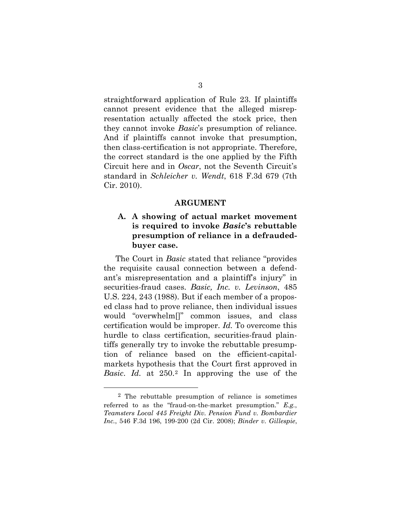straightforward application of Rule 23. If plaintiffs cannot present evidence that the alleged misrepresentation actually affected the stock price, then they cannot invoke *Basic*'s presumption of reliance. And if plaintiffs cannot invoke that presumption, then class-certification is not appropriate. Therefore, the correct standard is the one applied by the Fifth Circuit here and in *Oscar*, not the Seventh Circuit's standard in *Schleicher v. Wendt*, 618 F.3d 679 (7th Cir. 2010).

#### **ARGUMENT**

## **A. A showing of actual market movement is required to invoke** *Basic***'s rebuttable presumption of reliance in a defraudedbuyer case.**

The Court in *Basic* stated that reliance "provides the requisite causal connection between a defendant's misrepresentation and a plaintiff's injury" in securities-fraud cases. *Basic, Inc. v. Levinson*, 485 U.S. 224, 243 (1988). But if each member of a proposed class had to prove reliance, then individual issues would "overwhelm[]" common issues, and class certification would be improper. *Id.* To overcome this hurdle to class certification, securities-fraud plaintiffs generally try to invoke the rebuttable presumption of reliance based on the efficient-capitalmarkets hypothesis that the Court first approved in *Basic*. *Id.* at 250.[2](#page-8-0) In approving the use of the

<span id="page-8-0"></span> <sup>2</sup> The rebuttable presumption of reliance is sometimes referred to as the "fraud-on-the-market presumption." *E.g.*, *Teamsters Local 445 Freight Div. Pension Fund v. Bombardier Inc.*, 546 F.3d 196, 199-200 (2d Cir. 2008); *Binder v. Gillespie*,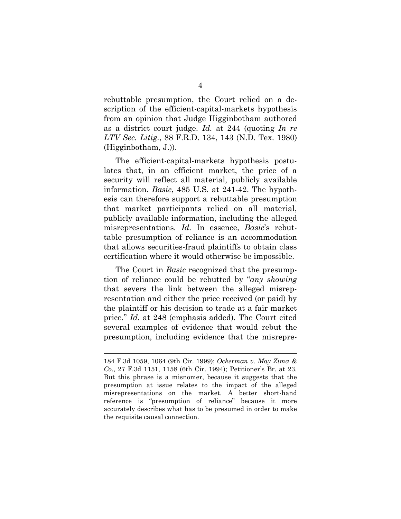rebuttable presumption, the Court relied on a description of the efficient-capital-markets hypothesis from an opinion that Judge Higginbotham authored as a district court judge. *Id.* at 244 (quoting *In re LTV Sec. Litig.*, 88 F.R.D. 134, 143 (N.D. Tex. 1980) (Higginbotham, J.)).

 The efficient-capital-markets hypothesis postulates that, in an efficient market, the price of a security will reflect all material, publicly available information. *Basic*, 485 U.S. at 241-42. The hypothesis can therefore support a rebuttable presumption that market participants relied on all material, publicly available information, including the alleged misrepresentations. *Id.* In essence, *Basic*'s rebuttable presumption of reliance is an accommodation that allows securities-fraud plaintiffs to obtain class certification where it would otherwise be impossible.

 The Court in *Basic* recognized that the presumption of reliance could be rebutted by "*any showing* that severs the link between the alleged misrepresentation and either the price received (or paid) by the plaintiff or his decision to trade at a fair market price." *Id.* at 248 (emphasis added). The Court cited several examples of evidence that would rebut the presumption, including evidence that the misrepre-

l

<sup>184</sup> F.3d 1059, 1064 (9th Cir. 1999); *Ockerman v. May Zima & Co.*, 27 F.3d 1151, 1158 (6th Cir. 1994); Petitioner's Br. at 23. But this phrase is a misnomer, because it suggests that the presumption at issue relates to the impact of the alleged misrepresentations on the market. A better short-hand reference is "presumption of reliance" because it more accurately describes what has to be presumed in order to make the requisite causal connection.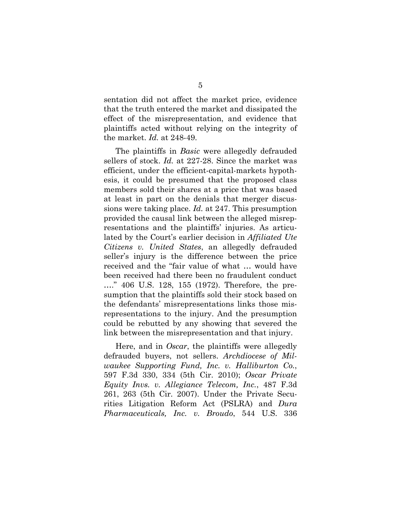sentation did not affect the market price, evidence that the truth entered the market and dissipated the effect of the misrepresentation, and evidence that plaintiffs acted without relying on the integrity of the market. *Id.* at 248-49.

 The plaintiffs in *Basic* were allegedly defrauded sellers of stock. *Id.* at 227-28. Since the market was efficient, under the efficient-capital-markets hypothesis, it could be presumed that the proposed class members sold their shares at a price that was based at least in part on the denials that merger discussions were taking place. *Id.* at 247. This presumption provided the causal link between the alleged misrepresentations and the plaintiffs' injuries. As articulated by the Court's earlier decision in *Affiliated Ute Citizens v. United States*, an allegedly defrauded seller's injury is the difference between the price received and the "fair value of what … would have been received had there been no fraudulent conduct …." 406 U.S. 128, 155 (1972). Therefore, the presumption that the plaintiffs sold their stock based on the defendants' misrepresentations links those misrepresentations to the injury. And the presumption could be rebutted by any showing that severed the link between the misrepresentation and that injury.

 Here, and in *Oscar*, the plaintiffs were allegedly defrauded buyers, not sellers. *Archdiocese of Milwaukee Supporting Fund, Inc. v. Halliburton Co.*, 597 F.3d 330, 334 (5th Cir. 2010); *Oscar Private Equity Invs. v. Allegiance Telecom, Inc.*, 487 F.3d 261, 263 (5th Cir. 2007). Under the Private Securities Litigation Reform Act (PSLRA) and *Dura Pharmaceuticals, Inc. v. Broudo*, 544 U.S. 336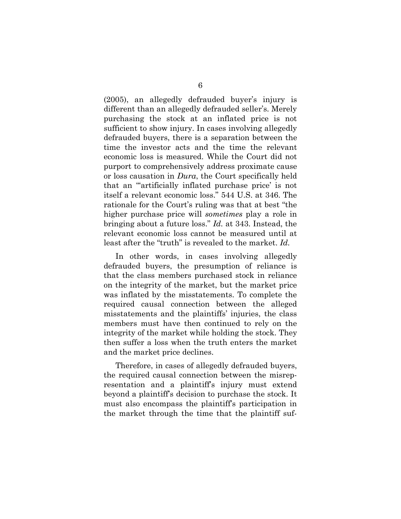(2005), an allegedly defrauded buyer's injury is different than an allegedly defrauded seller's. Merely purchasing the stock at an inflated price is not sufficient to show injury. In cases involving allegedly defrauded buyers, there is a separation between the time the investor acts and the time the relevant economic loss is measured. While the Court did not purport to comprehensively address proximate cause or loss causation in *Dura*, the Court specifically held that an "'artificially inflated purchase price' is not itself a relevant economic loss." 544 U.S. at 346. The rationale for the Court's ruling was that at best "the higher purchase price will *sometimes* play a role in bringing about a future loss." *Id.* at 343. Instead, the relevant economic loss cannot be measured until at least after the "truth" is revealed to the market. *Id.*

 In other words, in cases involving allegedly defrauded buyers, the presumption of reliance is that the class members purchased stock in reliance on the integrity of the market, but the market price was inflated by the misstatements. To complete the required causal connection between the alleged misstatements and the plaintiffs' injuries, the class members must have then continued to rely on the integrity of the market while holding the stock. They then suffer a loss when the truth enters the market and the market price declines.

 Therefore, in cases of allegedly defrauded buyers, the required causal connection between the misrepresentation and a plaintiff's injury must extend beyond a plaintiff's decision to purchase the stock. It must also encompass the plaintiff's participation in the market through the time that the plaintiff suf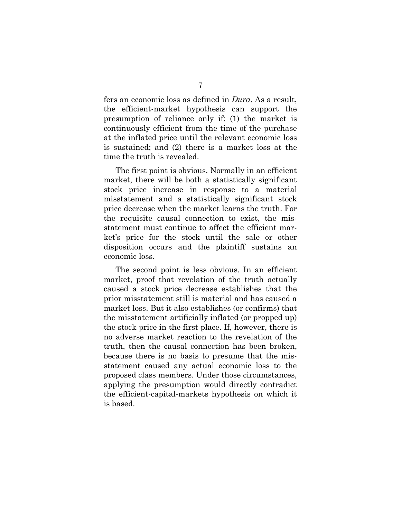fers an economic loss as defined in *Dura*. As a result, the efficient-market hypothesis can support the presumption of reliance only if: (1) the market is continuously efficient from the time of the purchase at the inflated price until the relevant economic loss is sustained; and (2) there is a market loss at the time the truth is revealed.

 The first point is obvious. Normally in an efficient market, there will be both a statistically significant stock price increase in response to a material misstatement and a statistically significant stock price decrease when the market learns the truth. For the requisite causal connection to exist, the misstatement must continue to affect the efficient market's price for the stock until the sale or other disposition occurs and the plaintiff sustains an economic loss.

 The second point is less obvious. In an efficient market, proof that revelation of the truth actually caused a stock price decrease establishes that the prior misstatement still is material and has caused a market loss. But it also establishes (or confirms) that the misstatement artificially inflated (or propped up) the stock price in the first place. If, however, there is no adverse market reaction to the revelation of the truth, then the causal connection has been broken, because there is no basis to presume that the misstatement caused any actual economic loss to the proposed class members. Under those circumstances, applying the presumption would directly contradict the efficient-capital-markets hypothesis on which it is based.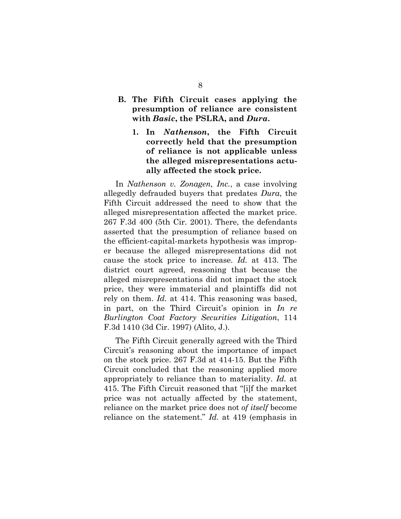## **B. The Fifth Circuit cases applying the presumption of reliance are consistent with** *Basic***, the PSLRA, and** *Dura***.**

**1. In** *Nathenson***, the Fifth Circuit correctly held that the presumption of reliance is not applicable unless the alleged misrepresentations actually affected the stock price.** 

In *Nathenson v. Zonagen, Inc.*, a case involving allegedly defrauded buyers that predates *Dura*, the Fifth Circuit addressed the need to show that the alleged misrepresentation affected the market price. 267 F.3d 400 (5th Cir. 2001). There, the defendants asserted that the presumption of reliance based on the efficient-capital-markets hypothesis was improper because the alleged misrepresentations did not cause the stock price to increase. *Id.* at 413. The district court agreed, reasoning that because the alleged misrepresentations did not impact the stock price, they were immaterial and plaintiffs did not rely on them. *Id.* at 414. This reasoning was based, in part, on the Third Circuit's opinion in *In re Burlington Coat Factory Securities Litigation*, 114 F.3d 1410 (3d Cir. 1997) (Alito, J.).

 The Fifth Circuit generally agreed with the Third Circuit's reasoning about the importance of impact on the stock price. 267 F.3d at 414-15. But the Fifth Circuit concluded that the reasoning applied more appropriately to reliance than to materiality. *Id.* at 415. The Fifth Circuit reasoned that "[i]f the market price was not actually affected by the statement, reliance on the market price does not *of itself* become reliance on the statement." *Id.* at 419 (emphasis in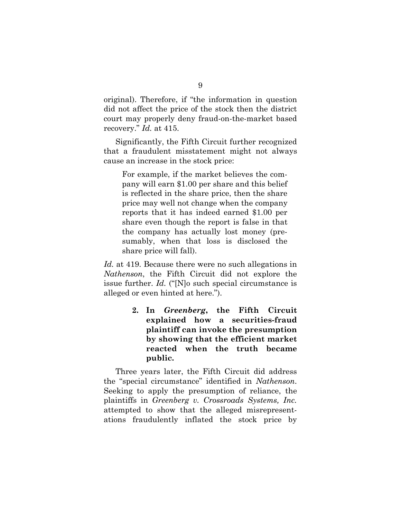original). Therefore, if "the information in question did not affect the price of the stock then the district court may properly deny fraud-on-the-market based recovery." *Id.* at 415.

 Significantly, the Fifth Circuit further recognized that a fraudulent misstatement might not always cause an increase in the stock price:

For example, if the market believes the company will earn \$1.00 per share and this belief is reflected in the share price, then the share price may well not change when the company reports that it has indeed earned \$1.00 per share even though the report is false in that the company has actually lost money (presumably, when that loss is disclosed the share price will fall).

*Id.* at 419. Because there were no such allegations in *Nathenson*, the Fifth Circuit did not explore the issue further. *Id.* ("[N]o such special circumstance is alleged or even hinted at here.").

> **2. In** *Greenberg***, the Fifth Circuit explained how a securities-fraud plaintiff can invoke the presumption by showing that the efficient market reacted when the truth became public.**

Three years later, the Fifth Circuit did address the "special circumstance" identified in *Nathenson*. Seeking to apply the presumption of reliance, the plaintiffs in *Greenberg v. Crossroads Systems, Inc.* attempted to show that the alleged misrepresentations fraudulently inflated the stock price by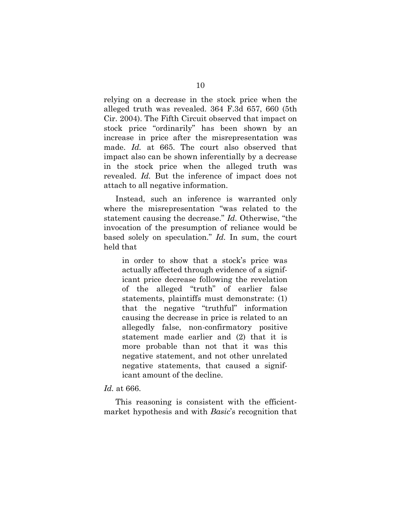relying on a decrease in the stock price when the alleged truth was revealed. 364 F.3d 657, 660 (5th Cir. 2004). The Fifth Circuit observed that impact on stock price "ordinarily" has been shown by an increase in price after the misrepresentation was made. *Id.* at 665. The court also observed that impact also can be shown inferentially by a decrease in the stock price when the alleged truth was revealed. *Id.* But the inference of impact does not attach to all negative information.

 Instead, such an inference is warranted only where the misrepresentation "was related to the statement causing the decrease." *Id.* Otherwise, "the invocation of the presumption of reliance would be based solely on speculation." *Id.* In sum, the court held that

in order to show that a stock's price was actually affected through evidence of a significant price decrease following the revelation of the alleged "truth" of earlier false statements, plaintiffs must demonstrate: (1) that the negative "truthful" information causing the decrease in price is related to an allegedly false, non-confirmatory positive statement made earlier and (2) that it is more probable than not that it was this negative statement, and not other unrelated negative statements, that caused a significant amount of the decline.

#### *Id.* at 666.

This reasoning is consistent with the efficientmarket hypothesis and with *Basic*'s recognition that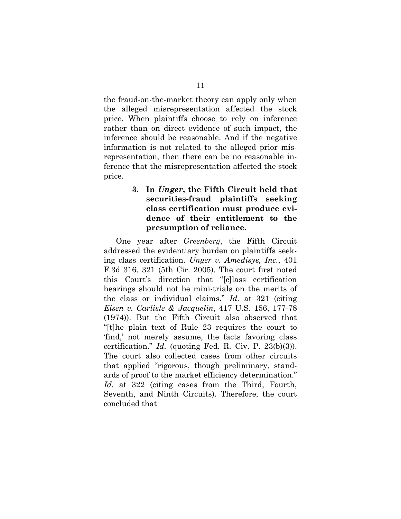the fraud-on-the-market theory can apply only when the alleged misrepresentation affected the stock price. When plaintiffs choose to rely on inference rather than on direct evidence of such impact, the inference should be reasonable. And if the negative information is not related to the alleged prior misrepresentation, then there can be no reasonable inference that the misrepresentation affected the stock price.

## **3. In** *Unger***, the Fifth Circuit held that securities-fraud plaintiffs seeking class certification must produce evidence of their entitlement to the presumption of reliance.**

One year after *Greenberg*, the Fifth Circuit addressed the evidentiary burden on plaintiffs seeking class certification. *Unger v. Amedisys, Inc.*, 401 F.3d 316, 321 (5th Cir. 2005). The court first noted this Court's direction that "[c]lass certification hearings should not be mini-trials on the merits of the class or individual claims." *Id.* at 321 (citing *Eisen v. Carlisle & Jacquelin*, 417 U.S. 156, 177-78 (1974)). But the Fifth Circuit also observed that "[t]he plain text of Rule 23 requires the court to 'find,' not merely assume, the facts favoring class certification." *Id.* (quoting Fed. R. Civ. P. 23(b)(3)). The court also collected cases from other circuits that applied "rigorous, though preliminary, standards of proof to the market efficiency determination." *Id.* at 322 (citing cases from the Third, Fourth, Seventh, and Ninth Circuits). Therefore, the court concluded that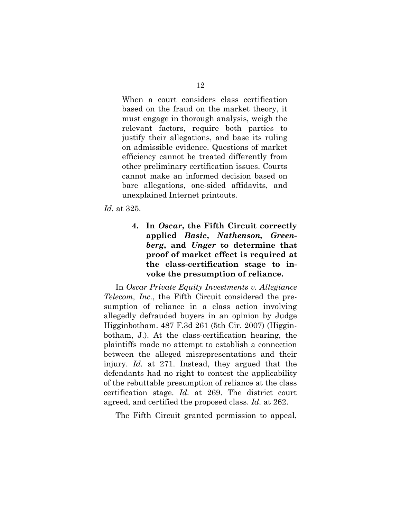When a court considers class certification based on the fraud on the market theory, it must engage in thorough analysis, weigh the relevant factors, require both parties to justify their allegations, and base its ruling on admissible evidence. Questions of market efficiency cannot be treated differently from other preliminary certification issues. Courts cannot make an informed decision based on bare allegations, one-sided affidavits, and unexplained Internet printouts.

*Id.* at 325.

**4. In** *Oscar***, the Fifth Circuit correctly applied** *Basic***,** *Nathenson, Greenberg***, and** *Unger* **to determine that proof of market effect is required at the class-certification stage to invoke the presumption of reliance.** 

 In *Oscar Private Equity Investments v. Allegiance Telecom, Inc.*, the Fifth Circuit considered the presumption of reliance in a class action involving allegedly defrauded buyers in an opinion by Judge Higginbotham. 487 F.3d 261 (5th Cir. 2007) (Higginbotham, J.). At the class-certification hearing, the plaintiffs made no attempt to establish a connection between the alleged misrepresentations and their injury. *Id.* at 271. Instead, they argued that the defendants had no right to contest the applicability of the rebuttable presumption of reliance at the class certification stage. *Id.* at 269. The district court agreed, and certified the proposed class. *Id.* at 262.

The Fifth Circuit granted permission to appeal,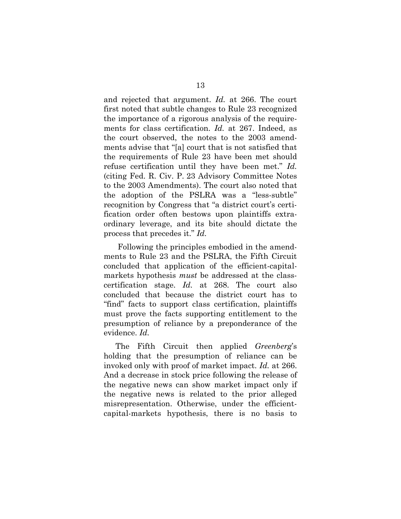and rejected that argument. *Id.* at 266. The court first noted that subtle changes to Rule 23 recognized the importance of a rigorous analysis of the requirements for class certification. *Id.* at 267. Indeed, as the court observed, the notes to the 2003 amendments advise that "[a] court that is not satisfied that the requirements of Rule 23 have been met should refuse certification until they have been met." *Id.* (citing Fed. R. Civ. P. 23 Advisory Committee Notes to the 2003 Amendments). The court also noted that the adoption of the PSLRA was a "less-subtle" recognition by Congress that "a district court's certification order often bestows upon plaintiffs extraordinary leverage, and its bite should dictate the process that precedes it." *Id.*

 Following the principles embodied in the amendments to Rule 23 and the PSLRA, the Fifth Circuit concluded that application of the efficient-capitalmarkets hypothesis *must* be addressed at the classcertification stage. *Id.* at 268. The court also concluded that because the district court has to "find" facts to support class certification, plaintiffs must prove the facts supporting entitlement to the presumption of reliance by a preponderance of the evidence. *Id.*

 The Fifth Circuit then applied *Greenberg*'s holding that the presumption of reliance can be invoked only with proof of market impact. *Id.* at 266. And a decrease in stock price following the release of the negative news can show market impact only if the negative news is related to the prior alleged misrepresentation. Otherwise, under the efficientcapital-markets hypothesis, there is no basis to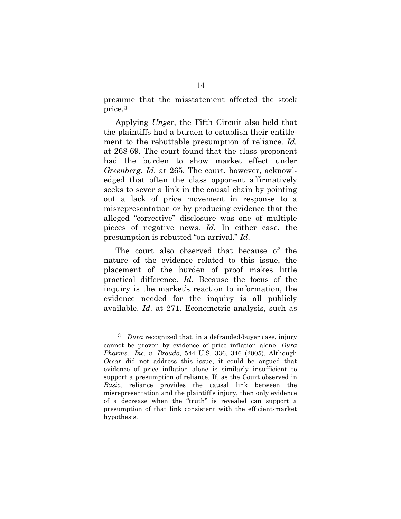presume that the misstatement affected the stock price.[3](#page-19-0)

 Applying *Unger*, the Fifth Circuit also held that the plaintiffs had a burden to establish their entitlement to the rebuttable presumption of reliance. *Id.* at 268-69. The court found that the class proponent had the burden to show market effect under *Greenberg*. *Id.* at 265. The court, however, acknowledged that often the class opponent affirmatively seeks to sever a link in the causal chain by pointing out a lack of price movement in response to a misrepresentation or by producing evidence that the alleged "corrective" disclosure was one of multiple pieces of negative news. *Id.* In either case, the presumption is rebutted "on arrival." *Id*.

 The court also observed that because of the nature of the evidence related to this issue, the placement of the burden of proof makes little practical difference. *Id.* Because the focus of the inquiry is the market's reaction to information, the evidence needed for the inquiry is all publicly available. *Id.* at 271. Econometric analysis, such as

<span id="page-19-0"></span> <sup>3</sup> *Dura* recognized that, in a defrauded-buyer case, injury cannot be proven by evidence of price inflation alone. *Dura Pharms., Inc. v. Broudo*, 544 U.S. 336, 346 (2005). Although *Oscar* did not address this issue, it could be argued that evidence of price inflation alone is similarly insufficient to support a presumption of reliance. If, as the Court observed in *Basic*, reliance provides the causal link between the misrepresentation and the plaintiff's injury, then only evidence of a decrease when the "truth" is revealed can support a presumption of that link consistent with the efficient-market hypothesis.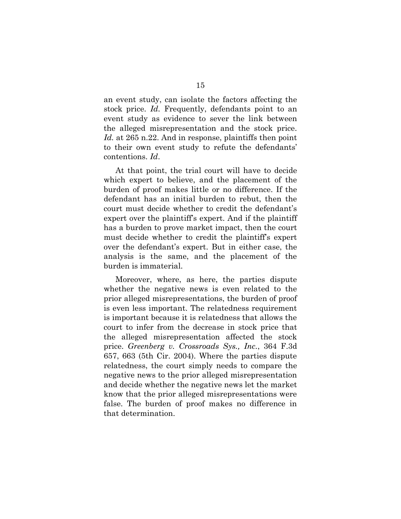an event study, can isolate the factors affecting the stock price. *Id.* Frequently, defendants point to an event study as evidence to sever the link between the alleged misrepresentation and the stock price. *Id.* at 265 n.22. And in response, plaintiffs then point to their own event study to refute the defendants' contentions. *Id*.

 At that point, the trial court will have to decide which expert to believe, and the placement of the burden of proof makes little or no difference. If the defendant has an initial burden to rebut, then the court must decide whether to credit the defendant's expert over the plaintiff's expert. And if the plaintiff has a burden to prove market impact, then the court must decide whether to credit the plaintiff's expert over the defendant's expert. But in either case, the analysis is the same, and the placement of the burden is immaterial.

 Moreover, where, as here, the parties dispute whether the negative news is even related to the prior alleged misrepresentations, the burden of proof is even less important. The relatedness requirement is important because it is relatedness that allows the court to infer from the decrease in stock price that the alleged misrepresentation affected the stock price. *Greenberg v. Crossroads Sys., Inc.*, 364 F.3d 657, 663 (5th Cir. 2004). Where the parties dispute relatedness, the court simply needs to compare the negative news to the prior alleged misrepresentation and decide whether the negative news let the market know that the prior alleged misrepresentations were false. The burden of proof makes no difference in that determination.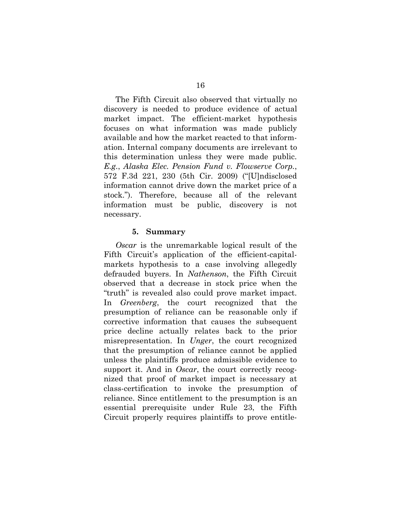The Fifth Circuit also observed that virtually no discovery is needed to produce evidence of actual market impact. The efficient-market hypothesis focuses on what information was made publicly available and how the market reacted to that information. Internal company documents are irrelevant to this determination unless they were made public. *E.g.*, *Alaska Elec. Pension Fund v. Flowserve Corp.*, 572 F.3d 221, 230 (5th Cir. 2009) ("[U]ndisclosed information cannot drive down the market price of a stock."). Therefore, because all of the relevant information must be public, discovery is not necessary.

#### **5. Summary**

*Oscar* is the unremarkable logical result of the Fifth Circuit's application of the efficient-capitalmarkets hypothesis to a case involving allegedly defrauded buyers. In *Nathenson*, the Fifth Circuit observed that a decrease in stock price when the "truth" is revealed also could prove market impact. In *Greenberg*, the court recognized that the presumption of reliance can be reasonable only if corrective information that causes the subsequent price decline actually relates back to the prior misrepresentation. In *Unger*, the court recognized that the presumption of reliance cannot be applied unless the plaintiffs produce admissible evidence to support it. And in *Oscar*, the court correctly recognized that proof of market impact is necessary at class-certification to invoke the presumption of reliance. Since entitlement to the presumption is an essential prerequisite under Rule 23, the Fifth Circuit properly requires plaintiffs to prove entitle-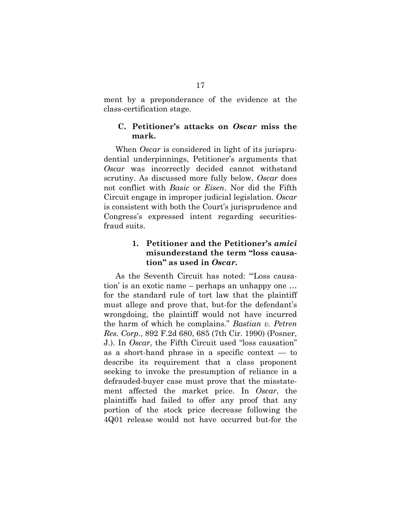ment by a preponderance of the evidence at the class-certification stage.

### **C. Petitioner's attacks on** *Oscar* **miss the mark.**

 When *Oscar* is considered in light of its jurisprudential underpinnings, Petitioner's arguments that *Oscar* was incorrectly decided cannot withstand scrutiny. As discussed more fully below, *Oscar* does not conflict with *Basic* or *Eisen*. Nor did the Fifth Circuit engage in improper judicial legislation. *Oscar*  is consistent with both the Court's jurisprudence and Congress's expressed intent regarding securitiesfraud suits.

## **1. Petitioner and the Petitioner's** *amici*  **misunderstand the term "loss causation" as used in** *Oscar.*

 As the Seventh Circuit has noted: "'Loss causation' is an exotic name – perhaps an unhappy one … for the standard rule of tort law that the plaintiff must allege and prove that, but-for the defendant's wrongdoing, the plaintiff would not have incurred the harm of which he complains." *Bastian v. Petren Res. Corp.*, 892 F.2d 680, 685 (7th Cir. 1990) (Posner, J.). In *Oscar*, the Fifth Circuit used "loss causation" as a short-hand phrase in a specific context — to describe its requirement that a class proponent seeking to invoke the presumption of reliance in a defrauded-buyer case must prove that the misstatement affected the market price. In *Oscar*, the plaintiffs had failed to offer any proof that any portion of the stock price decrease following the 4Q01 release would not have occurred but-for the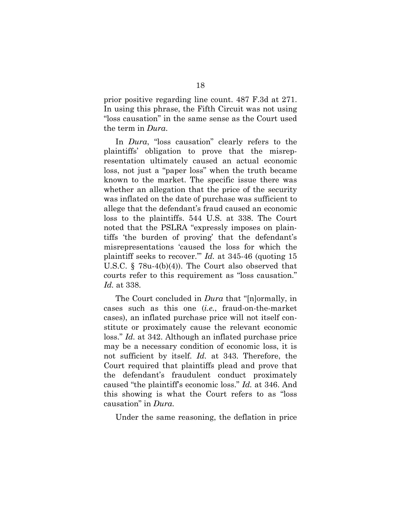prior positive regarding line count. 487 F.3d at 271. In using this phrase, the Fifth Circuit was not using "loss causation" in the same sense as the Court used the term in *Dura*.

 In *Dura*, "loss causation" clearly refers to the plaintiffs' obligation to prove that the misrepresentation ultimately caused an actual economic loss, not just a "paper loss" when the truth became known to the market. The specific issue there was whether an allegation that the price of the security was inflated on the date of purchase was sufficient to allege that the defendant's fraud caused an economic loss to the plaintiffs. 544 U.S. at 338. The Court noted that the PSLRA "expressly imposes on plaintiffs 'the burden of proving' that the defendant's misrepresentations 'caused the loss for which the plaintiff seeks to recover.'" *Id.* at 345-46 (quoting 15 U.S.C. § 78u-4(b)(4)). The Court also observed that courts refer to this requirement as "loss causation." *Id.* at 338.

 The Court concluded in *Dura* that "[n]ormally, in cases such as this one (*i.e.*, fraud-on-the-market cases), an inflated purchase price will not itself constitute or proximately cause the relevant economic loss." *Id.* at 342. Although an inflated purchase price may be a necessary condition of economic loss, it is not sufficient by itself. *Id.* at 343. Therefore, the Court required that plaintiffs plead and prove that the defendant's fraudulent conduct proximately caused "the plaintiff's economic loss." *Id.* at 346. And this showing is what the Court refers to as "loss causation" in *Dura*.

Under the same reasoning, the deflation in price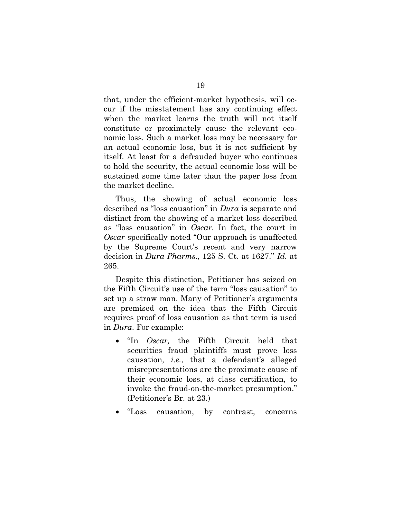that, under the efficient-market hypothesis, will occur if the misstatement has any continuing effect when the market learns the truth will not itself constitute or proximately cause the relevant economic loss. Such a market loss may be necessary for an actual economic loss, but it is not sufficient by itself. At least for a defrauded buyer who continues to hold the security, the actual economic loss will be sustained some time later than the paper loss from the market decline.

 Thus, the showing of actual economic loss described as "loss causation" in *Dura* is separate and distinct from the showing of a market loss described as "loss causation" in *Oscar*. In fact, the court in *Oscar* specifically noted "Our approach is unaffected by the Supreme Court's recent and very narrow decision in *Dura Pharms.*, 125 S. Ct. at 1627." *Id.* at 265.

 Despite this distinction, Petitioner has seized on the Fifth Circuit's use of the term "loss causation" to set up a straw man. Many of Petitioner's arguments are premised on the idea that the Fifth Circuit requires proof of loss causation as that term is used in *Dura*. For example:

- "In *Oscar,* the Fifth Circuit held that securities fraud plaintiffs must prove loss causation, *i.e.*, that a defendant's alleged misrepresentations are the proximate cause of their economic loss, at class certification, to invoke the fraud-on-the-market presumption." (Petitioner's Br. at 23.)
- "Loss causation, by contrast, concerns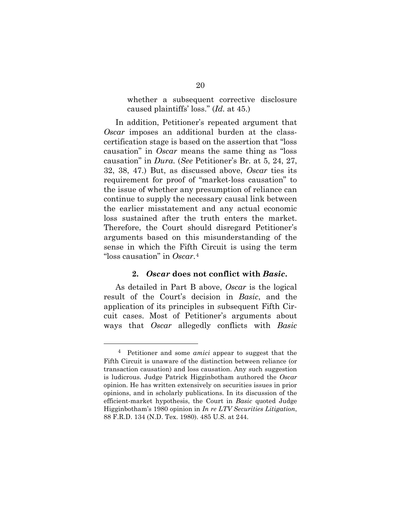whether a subsequent corrective disclosure caused plaintiffs' loss." (*Id.* at 45.)

 In addition, Petitioner's repeated argument that *Oscar* imposes an additional burden at the classcertification stage is based on the assertion that "loss causation" in *Oscar* means the same thing as "loss causation" in *Dura*. (*See* Petitioner's Br. at 5, 24, 27, 32, 38, 47.) But, as discussed above, *Oscar* ties its requirement for proof of "market-loss causation" to the issue of whether any presumption of reliance can continue to supply the necessary causal link between the earlier misstatement and any actual economic loss sustained after the truth enters the market. Therefore, the Court should disregard Petitioner's arguments based on this misunderstanding of the sense in which the Fifth Circuit is using the term "loss causation" in *Oscar*.[4](#page-25-0)

### **2.** *Oscar* **does not conflict with** *Basic***.**

As detailed in Part B above, *Oscar* is the logical result of the Court's decision in *Basic*, and the application of its principles in subsequent Fifth Circuit cases. Most of Petitioner's arguments about ways that *Oscar* allegedly conflicts with *Basic*

<span id="page-25-0"></span> <sup>4</sup> Petitioner and some *amici* appear to suggest that the Fifth Circuit is unaware of the distinction between reliance (or transaction causation) and loss causation. Any such suggestion is ludicrous. Judge Patrick Higginbotham authored the *Oscar* opinion. He has written extensively on securities issues in prior opinions, and in scholarly publications. In its discussion of the efficient-market hypothesis, the Court in *Basic* quoted Judge Higginbotham's 1980 opinion in *In re LTV Securities Litigation*, 88 F.R.D. 134 (N.D. Tex. 1980). 485 U.S. at 244.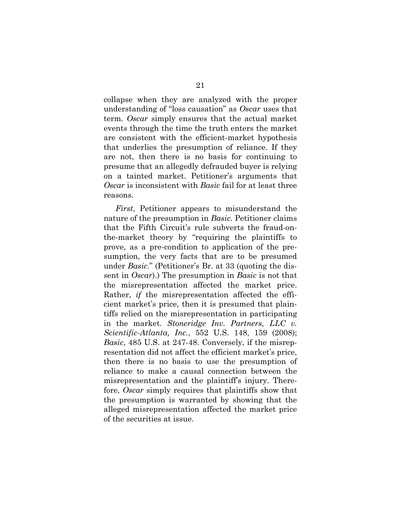collapse when they are analyzed with the proper understanding of "loss causation" as *Oscar* uses that term*. Oscar* simply ensures that the actual market events through the time the truth enters the market are consistent with the efficient-market hypothesis that underlies the presumption of reliance. If they are not, then there is no basis for continuing to presume that an allegedly defrauded buyer is relying on a tainted market. Petitioner's arguments that *Oscar* is inconsistent with *Basic* fail for at least three reasons.

*First*, Petitioner appears to misunderstand the nature of the presumption in *Basic.* Petitioner claims that the Fifth Circuit's rule subverts the fraud-onthe-market theory by "requiring the plaintiffs to prove, as a pre-condition to application of the presumption, the very facts that are to be presumed under *Basic*." (Petitioner's Br. at 33 (quoting the dissent in *Oscar*).) The presumption in *Basic* is not that the misrepresentation affected the market price. Rather, *if* the misrepresentation affected the efficient market's price, then it is presumed that plaintiffs relied on the misrepresentation in participating in the market. *Stoneridge Inv. Partners, LLC v. Scientific-Atlanta, Inc.*, 552 U.S. 148, 159 (2008); *Basic*, 485 U.S. at 247-48. Conversely, if the misrepresentation did not affect the efficient market's price, then there is no basis to use the presumption of reliance to make a causal connection between the misrepresentation and the plaintiff's injury. Therefore, *Oscar* simply requires that plaintiffs show that the presumption is warranted by showing that the alleged misrepresentation affected the market price of the securities at issue.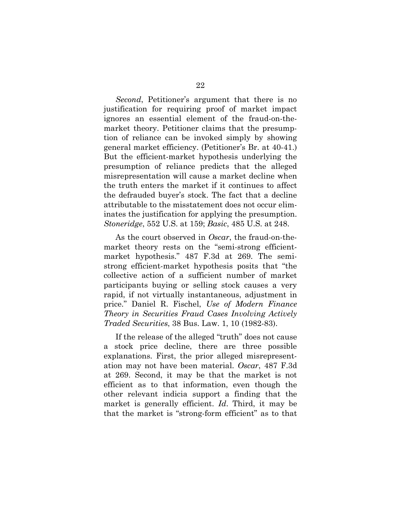*Second*, Petitioner's argument that there is no justification for requiring proof of market impact ignores an essential element of the fraud-on-themarket theory. Petitioner claims that the presumption of reliance can be invoked simply by showing general market efficiency. (Petitioner's Br. at 40-41.) But the efficient-market hypothesis underlying the presumption of reliance predicts that the alleged misrepresentation will cause a market decline when the truth enters the market if it continues to affect the defrauded buyer's stock. The fact that a decline attributable to the misstatement does not occur eliminates the justification for applying the presumption. *Stoneridge*, 552 U.S. at 159; *Basic*, 485 U.S. at 248.

 As the court observed in *Oscar*, the fraud-on-themarket theory rests on the "semi-strong efficientmarket hypothesis." 487 F.3d at 269. The semistrong efficient-market hypothesis posits that "the collective action of a sufficient number of market participants buying or selling stock causes a very rapid, if not virtually instantaneous, adjustment in price." Daniel R. Fischel, *Use of Modern Finance Theory in Securities Fraud Cases Involving Actively Traded Securities*, 38 Bus. Law. 1, 10 (1982-83).

 If the release of the alleged "truth" does not cause a stock price decline, there are three possible explanations. First, the prior alleged misrepresentation may not have been material. *Oscar*, 487 F.3d at 269. Second, it may be that the market is not efficient as to that information, even though the other relevant indicia support a finding that the market is generally efficient. *Id*. Third, it may be that the market is "strong-form efficient" as to that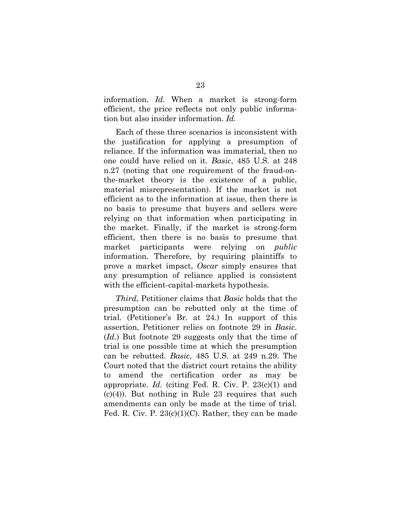information. *Id.* When a market is strong-form efficient, the price reflects not only public information but also insider information. *Id.*

 Each of these three scenarios is inconsistent with the justification for applying a presumption of reliance. If the information was immaterial, then no one could have relied on it. *Basic*, 485 U.S. at 248 n.27 (noting that one requirement of the fraud-onthe-market theory is the existence of a public, material misrepresentation). If the market is not efficient as to the information at issue, then there is no basis to presume that buyers and sellers were relying on that information when participating in the market. Finally, if the market is strong-form efficient, then there is no basis to presume that market participants were relying on *public*  information. Therefore, by requiring plaintiffs to prove a market impact, *Oscar* simply ensures that any presumption of reliance applied is consistent with the efficient-capital-markets hypothesis.

 *Third*, Petitioner claims that *Basic* holds that the presumption can be rebutted only at the time of trial. (Petitioner's Br. at 24.) In support of this assertion, Petitioner relies on footnote 29 in *Basic*. (*Id.*) But footnote 29 suggests only that the time of trial is one possible time at which the presumption can be rebutted. *Basic*, 485 U.S. at 249 n.29. The Court noted that the district court retains the ability to amend the certification order as may be appropriate. *Id.* (citing Fed. R. Civ. P. 23(c)(1) and  $(c)(4)$ ). But nothing in Rule 23 requires that such amendments can only be made at the time of trial. Fed. R. Civ. P.  $23(c)(1)(C)$ . Rather, they can be made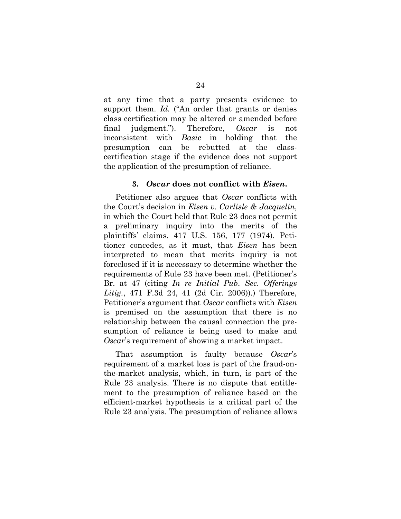at any time that a party presents evidence to support them. *Id.* ("An order that grants or denies") class certification may be altered or amended before final judgment."). Therefore, *Oscar* is not inconsistent with *Basic* in holding that the presumption can be rebutted at the classcertification stage if the evidence does not support the application of the presumption of reliance.

#### **3.** *Oscar* **does not conflict with** *Eisen***.**

 Petitioner also argues that *Oscar* conflicts with the Court's decision in *Eisen v. Carlisle & Jacquelin*, in which the Court held that Rule 23 does not permit a preliminary inquiry into the merits of the plaintiffs' claims. 417 U.S. 156, 177 (1974). Petitioner concedes, as it must, that *Eisen* has been interpreted to mean that merits inquiry is not foreclosed if it is necessary to determine whether the requirements of Rule 23 have been met. (Petitioner's Br. at 47 (citing *In re Initial Pub. Sec. Offerings Litig.*, 471 F.3d 24, 41 (2d Cir. 2006)).) Therefore, Petitioner's argument that *Oscar* conflicts with *Eisen*  is premised on the assumption that there is no relationship between the causal connection the presumption of reliance is being used to make and *Oscar*'s requirement of showing a market impact.

 That assumption is faulty because *Oscar*'s requirement of a market loss is part of the fraud-onthe-market analysis, which, in turn, is part of the Rule 23 analysis. There is no dispute that entitlement to the presumption of reliance based on the efficient-market hypothesis is a critical part of the Rule 23 analysis. The presumption of reliance allows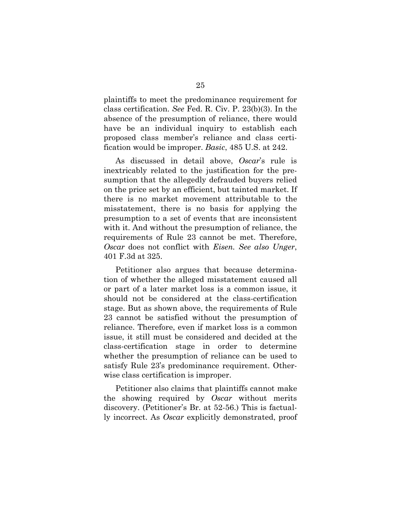plaintiffs to meet the predominance requirement for class certification. *See* Fed. R. Civ. P. 23(b)(3). In the absence of the presumption of reliance, there would have be an individual inquiry to establish each proposed class member's reliance and class certification would be improper. *Basic*, 485 U.S. at 242.

 As discussed in detail above, *Oscar*'s rule is inextricably related to the justification for the presumption that the allegedly defrauded buyers relied on the price set by an efficient, but tainted market. If there is no market movement attributable to the misstatement, there is no basis for applying the presumption to a set of events that are inconsistent with it. And without the presumption of reliance, the requirements of Rule 23 cannot be met. Therefore, *Oscar* does not conflict with *Eisen. See also Unger*, 401 F.3d at 325.

 Petitioner also argues that because determination of whether the alleged misstatement caused all or part of a later market loss is a common issue, it should not be considered at the class-certification stage. But as shown above, the requirements of Rule 23 cannot be satisfied without the presumption of reliance. Therefore, even if market loss is a common issue, it still must be considered and decided at the class-certification stage in order to determine whether the presumption of reliance can be used to satisfy Rule 23's predominance requirement. Otherwise class certification is improper.

 Petitioner also claims that plaintiffs cannot make the showing required by *Oscar* without merits discovery. (Petitioner's Br. at 52-56.) This is factually incorrect. As *Oscar* explicitly demonstrated, proof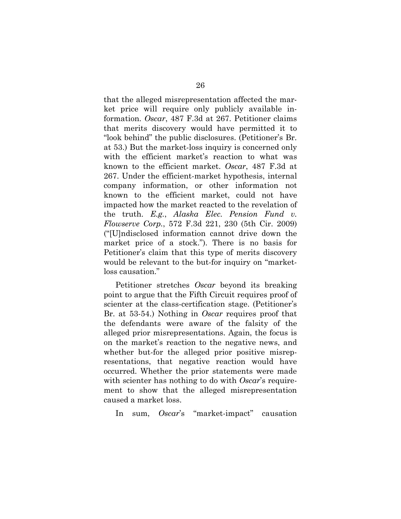that the alleged misrepresentation affected the market price will require only publicly available information. *Oscar*, 487 F.3d at 267. Petitioner claims that merits discovery would have permitted it to "look behind" the public disclosures. (Petitioner's Br. at 53.) But the market-loss inquiry is concerned only with the efficient market's reaction to what was known to the efficient market. *Oscar*, 487 F.3d at 267. Under the efficient-market hypothesis, internal company information, or other information not known to the efficient market, could not have impacted how the market reacted to the revelation of the truth. *E.g.*, *Alaska Elec. Pension Fund v. Flowserve Corp.*, 572 F.3d 221, 230 (5th Cir. 2009) ("[U]ndisclosed information cannot drive down the market price of a stock."). There is no basis for Petitioner's claim that this type of merits discovery would be relevant to the but-for inquiry on "marketloss causation."

 Petitioner stretches *Oscar* beyond its breaking point to argue that the Fifth Circuit requires proof of scienter at the class-certification stage. (Petitioner's Br. at 53-54.) Nothing in *Oscar* requires proof that the defendants were aware of the falsity of the alleged prior misrepresentations. Again, the focus is on the market's reaction to the negative news, and whether but-for the alleged prior positive misrepresentations, that negative reaction would have occurred. Whether the prior statements were made with scienter has nothing to do with *Oscar*'s requirement to show that the alleged misrepresentation caused a market loss.

In sum, *Oscar*'s "market-impact" causation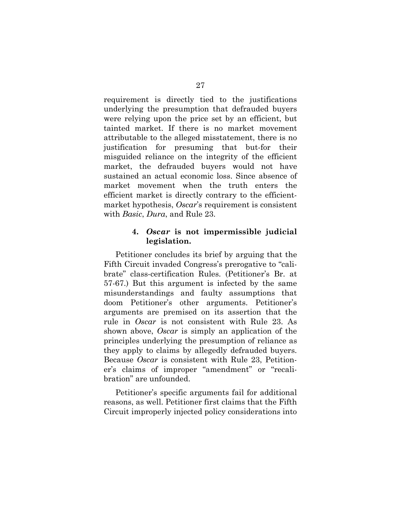requirement is directly tied to the justifications underlying the presumption that defrauded buyers were relying upon the price set by an efficient, but tainted market. If there is no market movement attributable to the alleged misstatement, there is no justification for presuming that but-for their misguided reliance on the integrity of the efficient market, the defrauded buyers would not have sustained an actual economic loss. Since absence of market movement when the truth enters the efficient market is directly contrary to the efficientmarket hypothesis, *Oscar*'s requirement is consistent with *Basic*, *Dura*, and Rule 23.

### **4.** *Oscar* **is not impermissible judicial legislation.**

Petitioner concludes its brief by arguing that the Fifth Circuit invaded Congress's prerogative to "calibrate" class-certification Rules. (Petitioner's Br. at 57-67.) But this argument is infected by the same misunderstandings and faulty assumptions that doom Petitioner's other arguments. Petitioner's arguments are premised on its assertion that the rule in *Oscar* is not consistent with Rule 23. As shown above, *Oscar* is simply an application of the principles underlying the presumption of reliance as they apply to claims by allegedly defrauded buyers. Because *Oscar* is consistent with Rule 23, Petitioner's claims of improper "amendment" or "recalibration" are unfounded.

 Petitioner's specific arguments fail for additional reasons, as well. Petitioner first claims that the Fifth Circuit improperly injected policy considerations into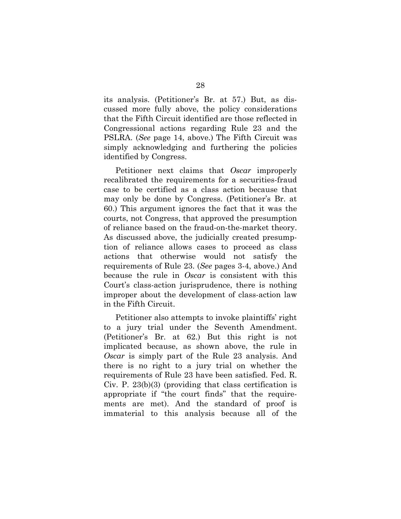its analysis. (Petitioner's Br. at 57.) But, as discussed more fully above, the policy considerations that the Fifth Circuit identified are those reflected in Congressional actions regarding Rule 23 and the PSLRA. (*See* page 14, above.) The Fifth Circuit was simply acknowledging and furthering the policies identified by Congress.

 Petitioner next claims that *Oscar* improperly recalibrated the requirements for a securities-fraud case to be certified as a class action because that may only be done by Congress. (Petitioner's Br. at 60.) This argument ignores the fact that it was the courts, not Congress, that approved the presumption of reliance based on the fraud-on-the-market theory. As discussed above, the judicially created presumption of reliance allows cases to proceed as class actions that otherwise would not satisfy the requirements of Rule 23. (*See* pages 3-4, above.) And because the rule in *Oscar* is consistent with this Court's class-action jurisprudence, there is nothing improper about the development of class-action law in the Fifth Circuit.

 Petitioner also attempts to invoke plaintiffs' right to a jury trial under the Seventh Amendment. (Petitioner's Br. at 62.) But this right is not implicated because, as shown above, the rule in *Oscar* is simply part of the Rule 23 analysis. And there is no right to a jury trial on whether the requirements of Rule 23 have been satisfied. Fed. R. Civ. P. 23(b)(3) (providing that class certification is appropriate if "the court finds" that the requirements are met). And the standard of proof is immaterial to this analysis because all of the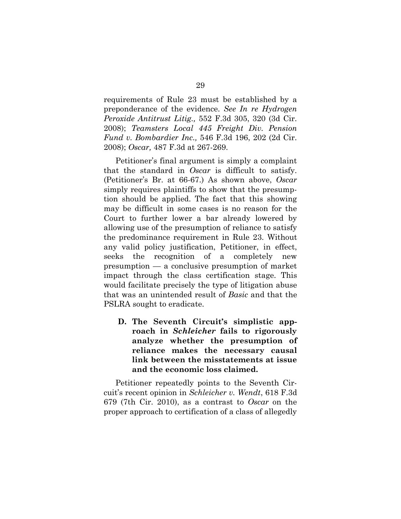requirements of Rule 23 must be established by a preponderance of the evidence. *See In re Hydrogen Peroxide Antitrust Litig.,* 552 F.3d 305, 320 (3d Cir. 2008); *Teamsters Local 445 Freight Div. Pension Fund v. Bombardier Inc.,* 546 F.3d 196, 202 (2d Cir. 2008); *Oscar,* 487 F.3d at 267-269.

 Petitioner's final argument is simply a complaint that the standard in *Oscar* is difficult to satisfy. (Petitioner's Br. at 66-67.) As shown above, *Oscar*  simply requires plaintiffs to show that the presumption should be applied. The fact that this showing may be difficult in some cases is no reason for the Court to further lower a bar already lowered by allowing use of the presumption of reliance to satisfy the predominance requirement in Rule 23. Without any valid policy justification, Petitioner, in effect, seeks the recognition of a completely new presumption — a conclusive presumption of market impact through the class certification stage. This would facilitate precisely the type of litigation abuse that was an unintended result of *Basic* and that the PSLRA sought to eradicate.

**D. The Seventh Circuit's simplistic approach in** *Schleicher* **fails to rigorously analyze whether the presumption of reliance makes the necessary causal link between the misstatements at issue and the economic loss claimed.** 

Petitioner repeatedly points to the Seventh Circuit's recent opinion in *Schleicher v. Wendt*, 618 F.3d 679 (7th Cir. 2010), as a contrast to *Oscar* on the proper approach to certification of a class of allegedly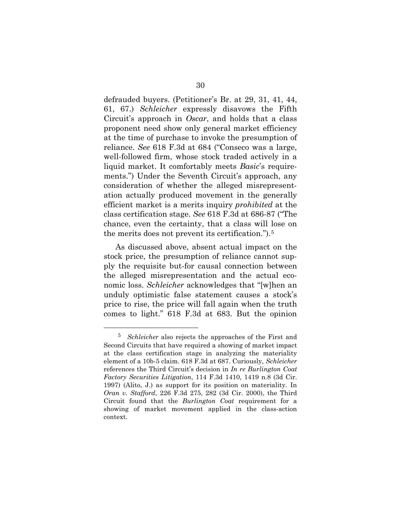defrauded buyers. (Petitioner's Br. at 29, 31, 41, 44, 61, 67.) *Schleicher* expressly disavows the Fifth Circuit's approach in *Oscar*, and holds that a class proponent need show only general market efficiency at the time of purchase to invoke the presumption of reliance. *See* 618 F.3d at 684 ("Conseco was a large, well-followed firm, whose stock traded actively in a liquid market. It comfortably meets *Basic*'s requirements.") Under the Seventh Circuit's approach, any consideration of whether the alleged misrepresentation actually produced movement in the generally efficient market is a merits inquiry *prohibited* at the class certification stage. *See* 618 F.3d at 686-87 ("The chance, even the certainty, that a class will lose on the merits does not prevent its certification.").[5](#page-35-0)

 As discussed above, absent actual impact on the stock price, the presumption of reliance cannot supply the requisite but-for causal connection between the alleged misrepresentation and the actual economic loss. *Schleicher* acknowledges that "[w]hen an unduly optimistic false statement causes a stock's price to rise, the price will fall again when the truth comes to light." 618 F.3d at 683. But the opinion

<span id="page-35-0"></span> <sup>5</sup> *Schleicher* also rejects the approaches of the First and Second Circuits that have required a showing of market impact at the class certification stage in analyzing the materiality element of a 10b-5 claim. 618 F.3d at 687. Curiously, *Schleicher*  references the Third Circuit's decision in *In re Burlington Coat Factory Securities Litigation*, 114 F.3d 1410, 1419 n.8 (3d Cir. 1997) (Alito, J.) as support for its position on materiality. In *Oran v. Stafford*, 226 F.3d 275, 282 (3d Cir. 2000), the Third Circuit found that the *Burlington Coat* requirement for a showing of market movement applied in the class-action context.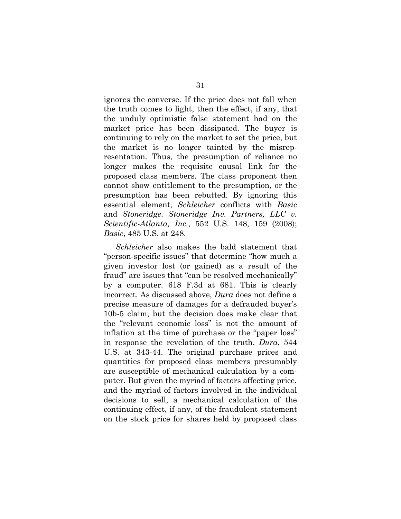ignores the converse. If the price does not fall when the truth comes to light, then the effect, if any, that the unduly optimistic false statement had on the market price has been dissipated. The buyer is continuing to rely on the market to set the price, but the market is no longer tainted by the misrepresentation. Thus, the presumption of reliance no longer makes the requisite causal link for the proposed class members. The class proponent then cannot show entitlement to the presumption, or the presumption has been rebutted. By ignoring this essential element, *Schleicher* conflicts with *Basic*  and *Stoneridge*. *Stoneridge Inv. Partners, LLC v. Scientific-Atlanta, Inc.*, 552 U.S. 148, 159 (2008); *Basic*, 485 U.S. at 248.

*Schleicher* also makes the bald statement that "person-specific issues" that determine "how much a given investor lost (or gained) as a result of the fraud" are issues that "can be resolved mechanically" by a computer. 618 F.3d at 681. This is clearly incorrect. As discussed above, *Dura* does not define a precise measure of damages for a defrauded buyer's 10b-5 claim, but the decision does make clear that the "relevant economic loss" is not the amount of inflation at the time of purchase or the "paper loss" in response the revelation of the truth. *Dura*, 544 U.S. at 343-44. The original purchase prices and quantities for proposed class members presumably are susceptible of mechanical calculation by a computer. But given the myriad of factors affecting price, and the myriad of factors involved in the individual decisions to sell, a mechanical calculation of the continuing effect, if any, of the fraudulent statement on the stock price for shares held by proposed class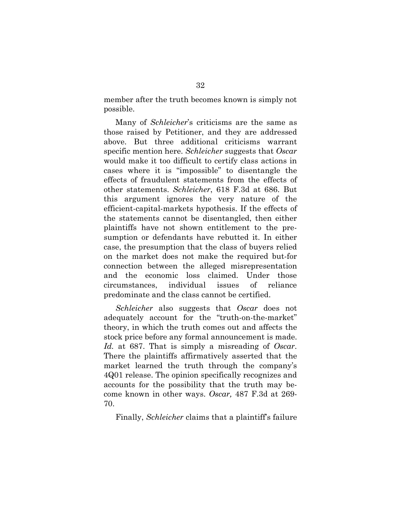member after the truth becomes known is simply not possible.

 Many of *Schleicher*'s criticisms are the same as those raised by Petitioner, and they are addressed above. But three additional criticisms warrant specific mention here. *Schleicher* suggests that *Oscar* would make it too difficult to certify class actions in cases where it is "impossible" to disentangle the effects of fraudulent statements from the effects of other statements. *Schleicher*, 618 F.3d at 686. But this argument ignores the very nature of the efficient-capital-markets hypothesis. If the effects of the statements cannot be disentangled, then either plaintiffs have not shown entitlement to the presumption or defendants have rebutted it. In either case, the presumption that the class of buyers relied on the market does not make the required but-for connection between the alleged misrepresentation and the economic loss claimed. Under those circumstances, individual issues of reliance predominate and the class cannot be certified.

*Schleicher* also suggests that *Oscar* does not adequately account for the "truth-on-the-market" theory, in which the truth comes out and affects the stock price before any formal announcement is made. *Id.* at 687. That is simply a misreading of *Oscar*. There the plaintiffs affirmatively asserted that the market learned the truth through the company's 4Q01 release. The opinion specifically recognizes and accounts for the possibility that the truth may become known in other ways. *Oscar,* 487 F.3d at 269- 70.

Finally, *Schleicher* claims that a plaintiff's failure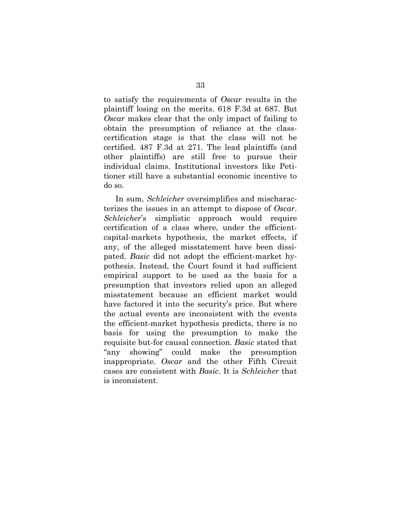to satisfy the requirements of *Oscar* results in the plaintiff losing on the merits. 618 F.3d at 687. But *Oscar* makes clear that the only impact of failing to obtain the presumption of reliance at the classcertification stage is that the class will not be certified. 487 F.3d at 271. The lead plaintiffs (and other plaintiffs) are still free to pursue their individual claims. Institutional investors like Petitioner still have a substantial economic incentive to do so.

 In sum, *Schleicher* oversimplifies and mischaracterizes the issues in an attempt to dispose of *Oscar*. *Schleicher*'s simplistic approach would require certification of a class where, under the efficientcapital-markets hypothesis, the market effects, if any, of the alleged misstatement have been dissipated. *Basic* did not adopt the efficient-market hypothesis. Instead, the Court found it had sufficient empirical support to be used as the basis for a presumption that investors relied upon an alleged misstatement because an efficient market would have factored it into the security's price. But where the actual events are inconsistent with the events the efficient-market hypothesis predicts, there is no basis for using the presumption to make the requisite but-for causal connection. *Basic* stated that "any showing" could make the presumption inappropriate. *Oscar* and the other Fifth Circuit cases are consistent with *Basic*. It is *Schleicher* that is inconsistent.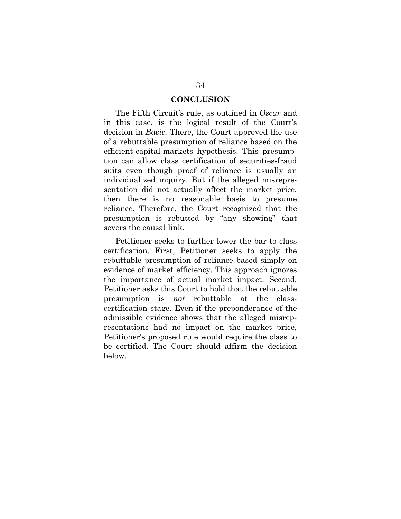#### **CONCLUSION**

 The Fifth Circuit's rule, as outlined in *Oscar* and in this case, is the logical result of the Court's decision in *Basic.* There, the Court approved the use of a rebuttable presumption of reliance based on the efficient-capital-markets hypothesis. This presumption can allow class certification of securities-fraud suits even though proof of reliance is usually an individualized inquiry. But if the alleged misrepresentation did not actually affect the market price, then there is no reasonable basis to presume reliance. Therefore, the Court recognized that the presumption is rebutted by "any showing" that severs the causal link.

 Petitioner seeks to further lower the bar to class certification. First, Petitioner seeks to apply the rebuttable presumption of reliance based simply on evidence of market efficiency. This approach ignores the importance of actual market impact. Second, Petitioner asks this Court to hold that the rebuttable presumption is *not* rebuttable at the classcertification stage. Even if the preponderance of the admissible evidence shows that the alleged misrepresentations had no impact on the market price, Petitioner's proposed rule would require the class to be certified. The Court should affirm the decision below.